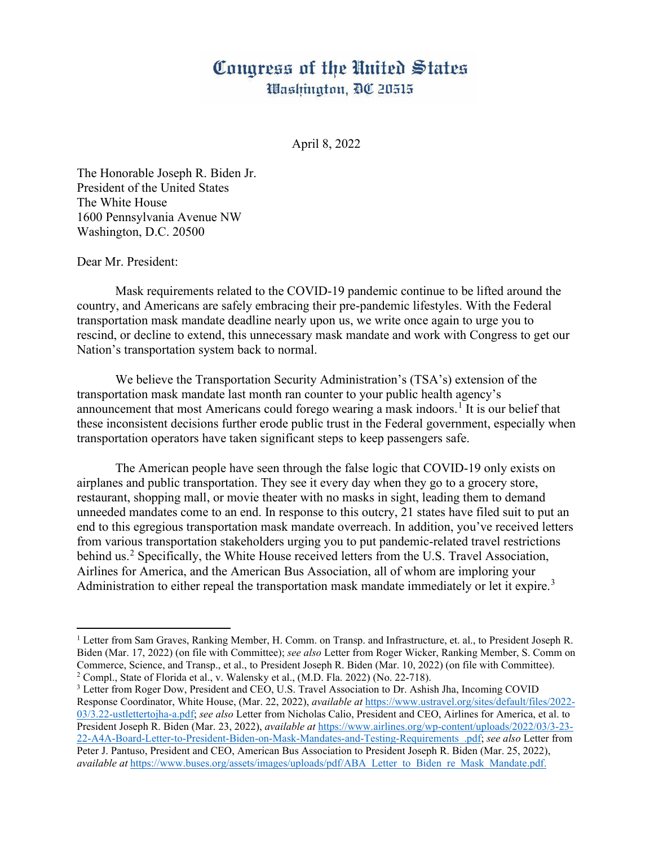## Congress of the United States Washington, DC 20515

April 8, 2022

The Honorable Joseph R. Biden Jr. President of the United States The White House 1600 Pennsylvania Avenue NW Washington, D.C. 20500

Dear Mr. President:

Mask requirements related to the COVID-19 pandemic continue to be lifted around the country, and Americans are safely embracing their pre-pandemic lifestyles. With the Federal transportation mask mandate deadline nearly upon us, we write once again to urge you to rescind, or decline to extend, this unnecessary mask mandate and work with Congress to get our Nation's transportation system back to normal.

We believe the Transportation Security Administration's (TSA's) extension of the transportation mask mandate last month ran counter to your public health agency's announcement that most Americans could forego wearing a mask indoors.<sup>[1](#page-0-0)</sup> It is our belief that these inconsistent decisions further erode public trust in the Federal government, especially when transportation operators have taken significant steps to keep passengers safe.

The American people have seen through the false logic that COVID-19 only exists on airplanes and public transportation. They see it every day when they go to a grocery store, restaurant, shopping mall, or movie theater with no masks in sight, leading them to demand unneeded mandates come to an end. In response to this outcry, 21 states have filed suit to put an end to this egregious transportation mask mandate overreach. In addition, you've received letters from various transportation stakeholders urging you to put pandemic-related travel restrictions behind us.<sup>[2](#page-0-1)</sup> Specifically, the White House received letters from the U.S. Travel Association, Airlines for America, and the American Bus Association, all of whom are imploring your Administration to either repeal the transportation mask mandate immediately or let it expire.<sup>[3](#page-0-2)</sup>

<span id="page-0-0"></span><sup>&</sup>lt;sup>1</sup> Letter from Sam Graves, Ranking Member, H. Comm. on Transp. and Infrastructure, et. al., to President Joseph R. Biden (Mar. 17, 2022) (on file with Committee); *see also* Letter from Roger Wicker, Ranking Member, S. Comm on Commerce, Science, and Transp., et al., to President Joseph R. Biden (Mar. 10, 2022) (on file with Committee). <sup>2</sup> Compl., State of Florida et al., v. Walensky et al.,  $(M.D. Fla. 2022)$  (No. 22-718).

<span id="page-0-2"></span><span id="page-0-1"></span><sup>&</sup>lt;sup>3</sup> Letter from Roger Dow, President and CEO, U.S. Travel Association to Dr. Ashish Jha, Incoming COVID Response Coordinator, White House, (Mar. 22, 2022), *available at* [https://www.ustravel.org/sites/default/files/2022-](https://www.ustravel.org/sites/default/files/2022-03/3.22-ustlettertojha-a.pdf) [03/3.22-ustlettertojha-a.pdf;](https://www.ustravel.org/sites/default/files/2022-03/3.22-ustlettertojha-a.pdf) *see also* Letter from Nicholas Calio, President and CEO, Airlines for America, et al. to President Joseph R. Biden (Mar. 23, 2022), *available at* [https://www.airlines.org/wp-content/uploads/2022/03/3-23-](https://www.airlines.org/wp-content/uploads/2022/03/3-23-22-A4A-Board-Letter-to-President-Biden-on-Mask-Mandates-and-Testing-Requirements_.pdf) [22-A4A-Board-Letter-to-President-Biden-on-Mask-Mandates-and-Testing-Requirements\\_.pdf;](https://www.airlines.org/wp-content/uploads/2022/03/3-23-22-A4A-Board-Letter-to-President-Biden-on-Mask-Mandates-and-Testing-Requirements_.pdf) *see also* Letter from

Peter J. Pantuso, President and CEO, American Bus Association to President Joseph R. Biden (Mar. 25, 2022), *available at [https://www.buses.org/assets/images/uploads/pdf/ABA\\_Letter\\_to\\_Biden\\_re\\_Mask\\_Mandate.pdf.](https://www.buses.org/assets/images/uploads/pdf/ABA_Letter_to_Biden_re_Mask_Mandate.pdf)*